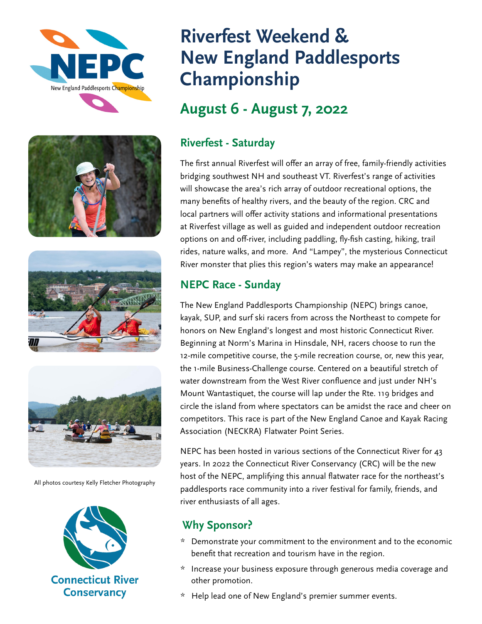







All photos courtesy Kelly Fletcher Photography



# **Riverfest Weekend & New England Paddlesports Championship**

## **August 6 - August 7, 2022**

## **Riverfest - Saturday**

The first annual Riverfest will offer an array of free, family-friendly activities bridging southwest NH and southeast VT. Riverfest's range of activities will showcase the area's rich array of outdoor recreational options, the many benefits of healthy rivers, and the beauty of the region. CRC and local partners will offer activity stations and informational presentations at Riverfest village as well as guided and independent outdoor recreation options on and off-river, including paddling, fly-fish casting, hiking, trail rides, nature walks, and more. And "Lampey", the mysterious Connecticut River monster that plies this region's waters may make an appearance!

### **NEPC Race - Sunday**

The New England Paddlesports Championship (NEPC) brings canoe, kayak, SUP, and surf ski racers from across the Northeast to compete for honors on New England's longest and most historic Connecticut River. Beginning at Norm's Marina in Hinsdale, NH, racers choose to run the 12-mile competitive course, the 5-mile recreation course, or, new this year, the 1-mile Business-Challenge course. Centered on a beautiful stretch of water downstream from the West River confluence and just under NH's Mount Wantastiquet, the course will lap under the Rte. 119 bridges and circle the island from where spectators can be amidst the race and cheer on competitors. This race is part of the New England Canoe and Kayak Racing Association (NECKRA) Flatwater Point Series.

NEPC has been hosted in various sections of the Connecticut River for 43 years. In 2022 the Connecticut River Conservancy (CRC) will be the new host of the NEPC, amplifying this annual flatwater race for the northeast's paddlesports race community into a river festival for family, friends, and river enthusiasts of all ages.

## **Why Sponsor?**

- \* Demonstrate your commitment to the environment and to the economic benefit that recreation and tourism have in the region.
- \* Increase your business exposure through generous media coverage and other promotion.
- \* Help lead one of New England's premier summer events.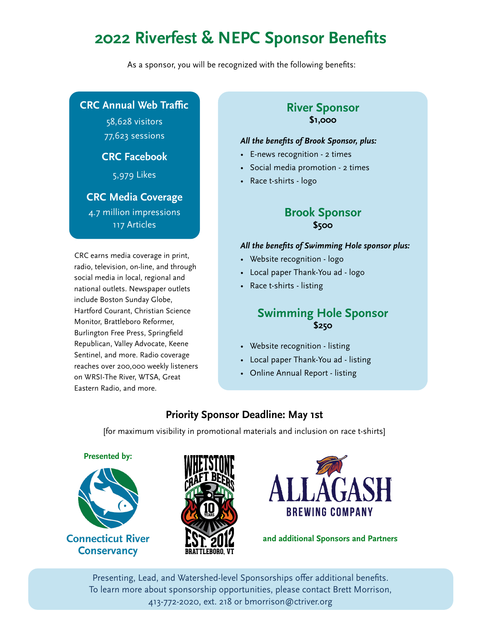# **2022 Riverfest & NEPC Sponsor Benefits**

As a sponsor, you will be recognized with the following benefits:

#### **CRC Annual Web Traffic**

58,628 visitors 77,623 sessions

#### **CRC Facebook**

5,979 Likes

#### **CRC Media Coverage**

4.7 million impressions 117 Articles

CRC earns media coverage in print, radio, television, on-line, and through social media in local, regional and national outlets. Newspaper outlets include Boston Sunday Globe, Hartford Courant, Christian Science Monitor, Brattleboro Reformer, Burlington Free Press, Springfield Republican, Valley Advocate, Keene Sentinel, and more. Radio coverage reaches over 200,000 weekly listeners on WRSI-The River, WTSA, Great Eastern Radio, and more.

#### **River Sponsor \$1,000**

#### *All the benefits of Brook Sponsor, plus:*

- E-news recognition 2 times
- Social media promotion 2 times
- Race t-shirts logo

#### **Brook Sponsor \$500**

#### *All the benefits of Swimming Hole sponsor plus:*

- Website recognition logo
- Local paper Thank-You ad logo
- Race t-shirts listing

### **Swimming Hole Sponsor \$250**

- Website recognition listing
- Local paper Thank-You ad listing
- Online Annual Report listing

### **Priority Sponsor Deadline: May 1st**

[for maximum visibility in promotional materials and inclusion on race t-shirts]





**Connecticut River Conservancy** 





**and additional Sponsors and Partners**

Presenting, Lead, and Watershed-level Sponsorships offer additional benefits. To learn more about sponsorship opportunities, please contact Brett Morrison, 413-772-2020, ext. 218 or bmorrison@ctriver.org